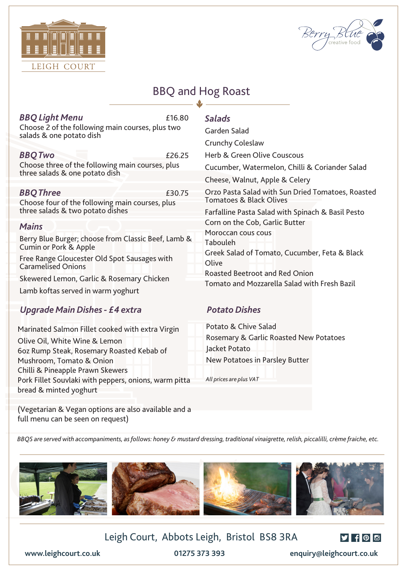



## BBQ and Hog Roast

| <b>BBQ Light Menu</b><br>Choose 2 of the following main courses, plus two<br>salads & one potato dish                                                                                                                                                        | £16.80 | <b>Salads</b><br>Garden Salad<br>Crunchy Coleslaw                                                                                                                                                                   |
|--------------------------------------------------------------------------------------------------------------------------------------------------------------------------------------------------------------------------------------------------------------|--------|---------------------------------------------------------------------------------------------------------------------------------------------------------------------------------------------------------------------|
| <b>BBQTwo</b><br>Choose three of the following main courses, plus<br>three salads & one potato dish                                                                                                                                                          | £26.25 | Herb & Green Olive Couscous<br>Cucumber, Watermelon, Chilli & Coriander Salad<br>Cheese, Walnut, Apple & Celery                                                                                                     |
| <b>BBQ Three</b><br>Choose four of the following main courses, plus<br>three salads & two potato dishes                                                                                                                                                      | £30.75 | Orzo Pasta Salad with Sun Dried Tomatoes, Roasted<br>Tomatoes & Black Olives<br>Farfalline Pasta Salad with Spinach & Basil Pesto                                                                                   |
| <b>Mains</b><br>Berry Blue Burger; choose from Classic Beef, Lamb &<br>Cumin or Pork & Apple<br>Free Range Gloucester Old Spot Sausages with<br><b>Caramelised Onions</b><br>Skewered Lemon, Garlic & Rosemary Chicken<br>Lamb koftas served in warm yoghurt |        | Corn on the Cob, Garlic Butter<br>Moroccan cous cous<br>Tabouleh<br>Greek Salad of Tomato, Cucumber, Feta & Black<br>Olive<br><b>Roasted Beetroot and Red Onion</b><br>Tomato and Mozzarella Salad with Fresh Bazil |
| Upgrade Main Dishes - £4 extra                                                                                                                                                                                                                               |        | <b>Potato Dishes</b>                                                                                                                                                                                                |

Marinated Salmon Fillet cooked with extra Virgin Olive Oil, White Wine & Lemon 6oz Rump Steak, Rosemary Roasted Kebab of Mushroom, Tomato & Onion Chilli & Pineapple Prawn Skewers Pork Fillet Souvlaki with peppers, onions, warm pitta bread & minted yoghurt

## *Potato Dishes*

Potato & Chive Salad Rosemary & Garlic Roasted New Potatoes Jacket Potato New Potatoes in Parsley Butter

*All prices are plus VAT*

(Vegetarian & Vegan options are also available and a full menu can be seen on request)

*BBQS are served with accompaniments, as follows: honey & mustard dressing, traditional vinaigrette, relish, piccalilli, crème fraiche, etc.*





**www.leighcourt.co.uk 01275 373 393 enquiry@leighcourt.co.uk**